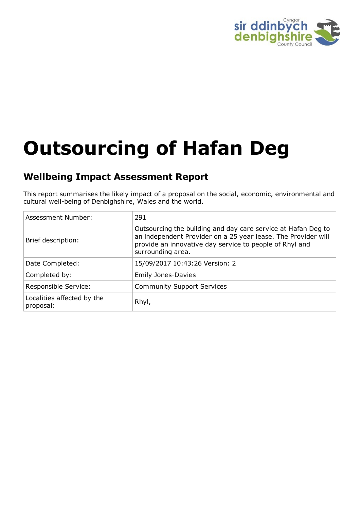

# **Outsourcing of Hafan Deg**

# **Wellbeing Impact Assessment Report**

This report summarises the likely impact of a proposal on the social, economic, environmental and cultural well-being of Denbighshire, Wales and the world.

| <b>Assessment Number:</b>               | 291                                                                                                                                                                                                            |
|-----------------------------------------|----------------------------------------------------------------------------------------------------------------------------------------------------------------------------------------------------------------|
| Brief description:                      | Outsourcing the building and day care service at Hafan Deg to<br>an independent Provider on a 25 year lease. The Provider will<br>provide an innovative day service to people of Rhyl and<br>surrounding area. |
| Date Completed:                         | 15/09/2017 10:43:26 Version: 2                                                                                                                                                                                 |
| Completed by:                           | <b>Emily Jones-Davies</b>                                                                                                                                                                                      |
| Responsible Service:                    | <b>Community Support Services</b>                                                                                                                                                                              |
| Localities affected by the<br>proposal: | Rhyl,                                                                                                                                                                                                          |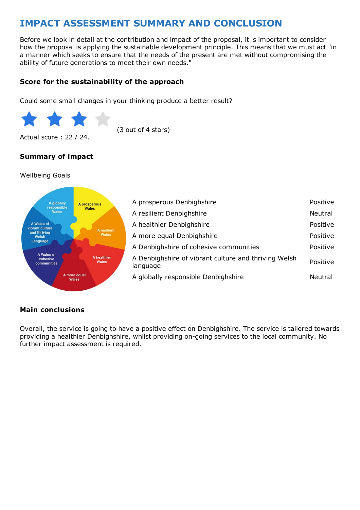# **IMPACT ASSESSMENT SUMMARY AND CONCLUSION**

Before we look in detail at the contribution and impact of the proposal, it is important to consider how the proposal is applying the sustainable development principle. This means that we must act "in a manner which seeks to ensure that the needs of the present are met without compromising the ability of future generations to meet their own needs."

#### **Score for the sustainability of the approach**

Could some small changes in your thinking produce a better result?



(3 out of 4 stars)

Actual score : 22 / 24.

## **Summary of impact**

#### Wellbeing Goals



#### **Main conclusions**

Overall, the service is going to have a positive effect on Denbighshire. The service is tailored towards providing a healthier Denbighshire, whilst providing on-going services to the local community. No further impact assessment is required.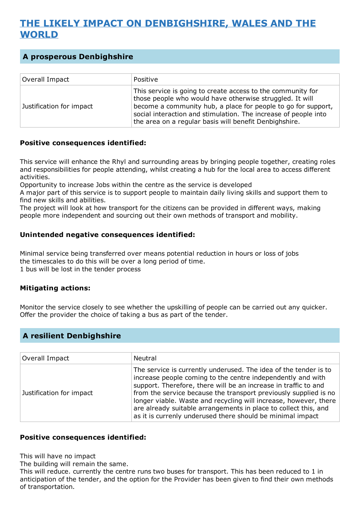# **THE LIKELY IMPACT ON DENBIGHSHIRE, WALES AND THE WORLD**

# **A prosperous Denbighshire**

| Overall Impact           | Positive                                                                                                                                                                                                                                                                                                              |
|--------------------------|-----------------------------------------------------------------------------------------------------------------------------------------------------------------------------------------------------------------------------------------------------------------------------------------------------------------------|
| Justification for impact | This service is going to create access to the community for<br>those people who would have otherwise struggled. It will<br>become a community hub, a place for people to go for support,<br>social interaction and stimulation. The increase of people into<br>the area on a regular basis will benefit Denbighshire. |

#### **Positive consequences identified:**

This service will enhance the Rhyl and surrounding areas by bringing people together, creating roles and responsibilities for people attending, whilst creating a hub for the local area to access different activities.

Opportunity to increase Jobs within the centre as the service is developed

A major part of this service is to support people to maintain daily living skills and support them to find new skills and abilities.

The project will look at how transport for the citizens can be provided in different ways, making people more independent and sourcing out their own methods of transport and mobility.

#### **Unintended negative consequences identified:**

Minimal service being transferred over means potential reduction in hours or loss of jobs the timescales to do this will be over a long period of time. 1 bus will be lost in the tender process

#### **Mitigating actions:**

Monitor the service closely to see whether the upskilling of people can be carried out any quicker. Offer the provider the choice of taking a bus as part of the tender.

## **A resilient Denbighshire**

| Overall Impact           | Neutral                                                                                                                                                                                                                                                                                                                                                                                                                                                                     |
|--------------------------|-----------------------------------------------------------------------------------------------------------------------------------------------------------------------------------------------------------------------------------------------------------------------------------------------------------------------------------------------------------------------------------------------------------------------------------------------------------------------------|
| Justification for impact | The service is currently underused. The idea of the tender is to<br>increase people coming to the centre independently and with<br>support. Therefore, there will be an increase in traffic to and<br>from the service because the transport previously supplied is no<br>longer viable. Waste and recycling will increase, however, there<br>are already suitable arrangements in place to collect this, and<br>as it is currenly underused there should be minimal impact |

#### **Positive consequences identified:**

This will have no impact

The building will remain the same.

This will reduce. currently the centre runs two buses for transport. This has been reduced to 1 in anticipation of the tender, and the option for the Provider has been given to find their own methods of transportation.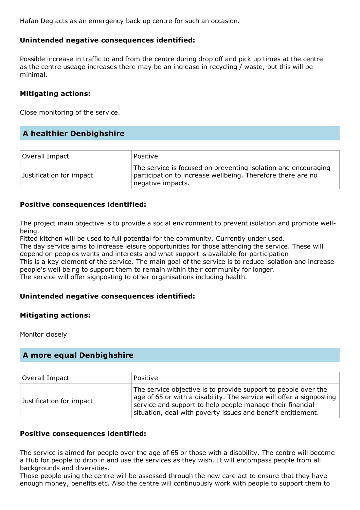Hafan Deg acts as an emergency back up centre for such an occasion.

#### **Unintended negative consequences identified:**

Possible increase in traffic to and from the centre during drop off and pick up times at the centre as the centre useage increases there may be an increase in recycling / waste, but this will be minimal.

#### **Mitigating actions:**

Close monitoring of the service.

#### **A healthier Denbighshire**

| Overall Impact           | Positive                                                                                                                                           |
|--------------------------|----------------------------------------------------------------------------------------------------------------------------------------------------|
| Justification for impact | The service is focused on preventing isolation and encouraging<br>participation to increase wellbeing. Therefore there are no<br>negative impacts. |

#### **Positive consequences identified:**

The project main objective is to provide a social environment to prevent isolation and promote wellbeing.

Fitted kitchen will be used to full potential for the community. Currently under used.

The day service aims to increase leisure opportunities for those attending the service. These will depend on peoples wants and interests and what support is available for participation

This is a key element of the service. The main goal of the service is to reduce isolation and increase people's well being to support them to remain within their community for longer.

The service will offer signposting to other organisations including health.

#### **Unintended negative consequences identified:**

#### **Mitigating actions:**

Monitor closely

## **A more equal Denbighshire**

| Overall Impact           | Positive                                                                                                                                                                                                                                                            |
|--------------------------|---------------------------------------------------------------------------------------------------------------------------------------------------------------------------------------------------------------------------------------------------------------------|
| Justification for impact | The service objective is to provide support to people over the<br>age of 65 or with a disability. The service will offer a signposting<br>service and support to help people manage their financial<br>situation, deal with poverty issues and benefit entitlement. |

#### **Positive consequences identified:**

The service is aimed for people over the age of 65 or those with a disability. The centre will become a Hub for people to drop in and use the services as they wish. It will encompass people from all backgrounds and diversities.

Those people using the centre will be assessed through the new care act to ensure that they have enough money, benefits etc. Also the centre will continuously work with people to support them to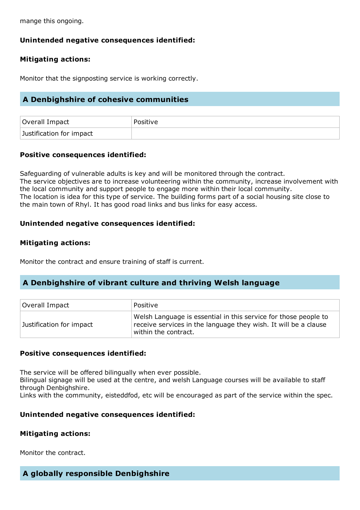mange this ongoing.

# **Unintended negative consequences identified:**

# **Mitigating actions:**

Monitor that the signposting service is working correctly.

# **A Denbighshire of cohesive communities**

| Overall Impact           | ' Positive |
|--------------------------|------------|
| Justification for impact |            |

# **Positive consequences identified:**

Safeguarding of vulnerable adults is key and will be monitored through the contract. The service objectives are to increase volunteering within the community, increase involvement with the local community and support people to engage more within their local community. The location is idea for this type of service. The building forms part of a social housing site close to the main town of Rhyl. It has good road links and bus links for easy access.

#### **Unintended negative consequences identified:**

#### **Mitigating actions:**

Monitor the contract and ensure training of staff is current.

## **A Denbighshire of vibrant culture and thriving Welsh language**

| Overall Impact           | Positive                                                                                                                                                   |
|--------------------------|------------------------------------------------------------------------------------------------------------------------------------------------------------|
| Justification for impact | Welsh Language is essential in this service for those people to<br>receive services in the language they wish. It will be a clause<br>within the contract. |

#### **Positive consequences identified:**

The service will be offered bilingually when ever possible.

Bilingual signage will be used at the centre, and welsh Language courses will be available to staff through Denbighshire.

Links with the community, eisteddfod, etc will be encouraged as part of the service within the spec.

#### **Unintended negative consequences identified:**

#### **Mitigating actions:**

Monitor the contract.

#### **A globally responsible Denbighshire**